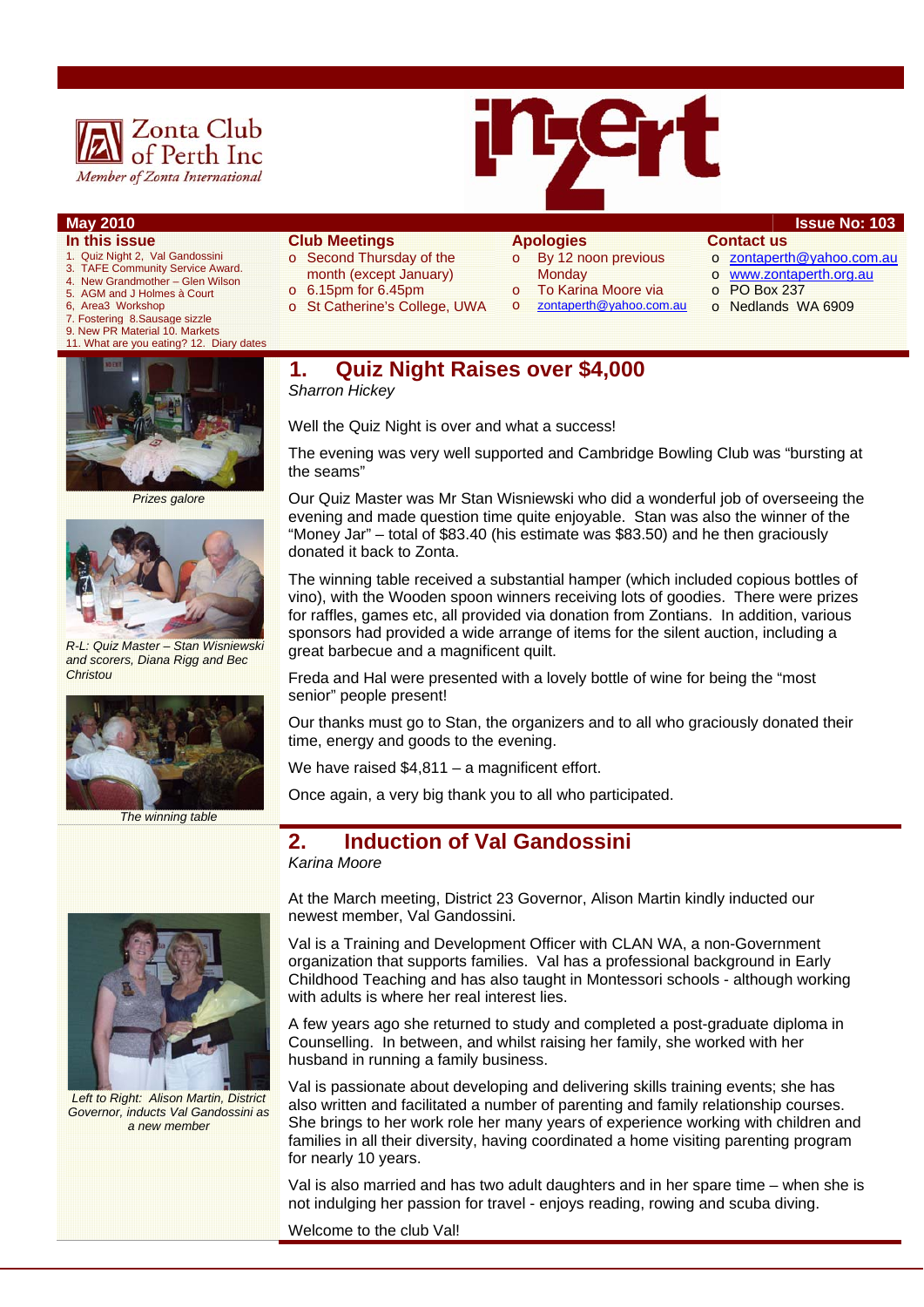



## **May 2010** Issue No: 103

- **In this issue**
- 1. Quiz Night 2, Val Gandossini
- 3. TAFE Community Service Award. 4. New Grandmother – Glen Wilson
- 
- 5. AGM and J Holmes à Court Area3 Workshop
- 7. Fostering 8.Sausage sizzle
- 9. New PR Material 10. Markets
- 11. What are you eating? 12. Diary date



*Prizes galore* 



*R-L: Quiz Master – Stan Wisniewski and scorers, Diana Rigg and Bec Christou* 



*The winning table* 

#### **Club Meetings**

- o Second Thursday of the month (except January)
- $\circ$  6.15pm for 6.45pm
- o St Catherine's College, UWA

#### **Apologies**  o By 12 noon previous

- **Monday** 
	-
- To Karina Moore via o zontaperth@yahoo.com.au
- o www.zontaperth.org.au o PO Box 237

o zontaperth@yahoo.com.au

o Nedlands WA 6909

**Contact us** 

**1. Quiz Night Raises over \$4,000** 

*Sharron Hickey* 

Well the Quiz Night is over and what a success!

The evening was very well supported and Cambridge Bowling Club was "bursting at the seams"

Our Quiz Master was Mr Stan Wisniewski who did a wonderful job of overseeing the evening and made question time quite enjoyable. Stan was also the winner of the "Money Jar" – total of \$83.40 (his estimate was \$83.50) and he then graciously donated it back to Zonta.

The winning table received a substantial hamper (which included copious bottles of vino), with the Wooden spoon winners receiving lots of goodies. There were prizes for raffles, games etc, all provided via donation from Zontians. In addition, various sponsors had provided a wide arrange of items for the silent auction, including a great barbecue and a magnificent quilt.

Freda and Hal were presented with a lovely bottle of wine for being the "most senior" people present!

Our thanks must go to Stan, the organizers and to all who graciously donated their time, energy and goods to the evening.

We have raised \$4,811 – a magnificent effort.

Once again, a very big thank you to all who participated.

### **2. Induction of Val Gandossini**

*Karina Moore* 



*Left to Right: Alison Martin, District Governor, inducts Val Gandossini as a new member* 

At the March meeting, District 23 Governor, Alison Martin kindly inducted our newest member, Val Gandossini.

Val is a Training and Development Officer with CLAN WA, a non-Government organization that supports families. Val has a professional background in Early Childhood Teaching and has also taught in Montessori schools - although working with adults is where her real interest lies.

A few years ago she returned to study and completed a post-graduate diploma in Counselling. In between, and whilst raising her family, she worked with her husband in running a family business.

Val is passionate about developing and delivering skills training events; she has also written and facilitated a number of parenting and family relationship courses. She brings to her work role her many years of experience working with children and families in all their diversity, having coordinated a home visiting parenting program for nearly 10 years.

Val is also married and has two adult daughters and in her spare time – when she is not indulging her passion for travel - enjoys reading, rowing and scuba diving.

Welcome to the club Val!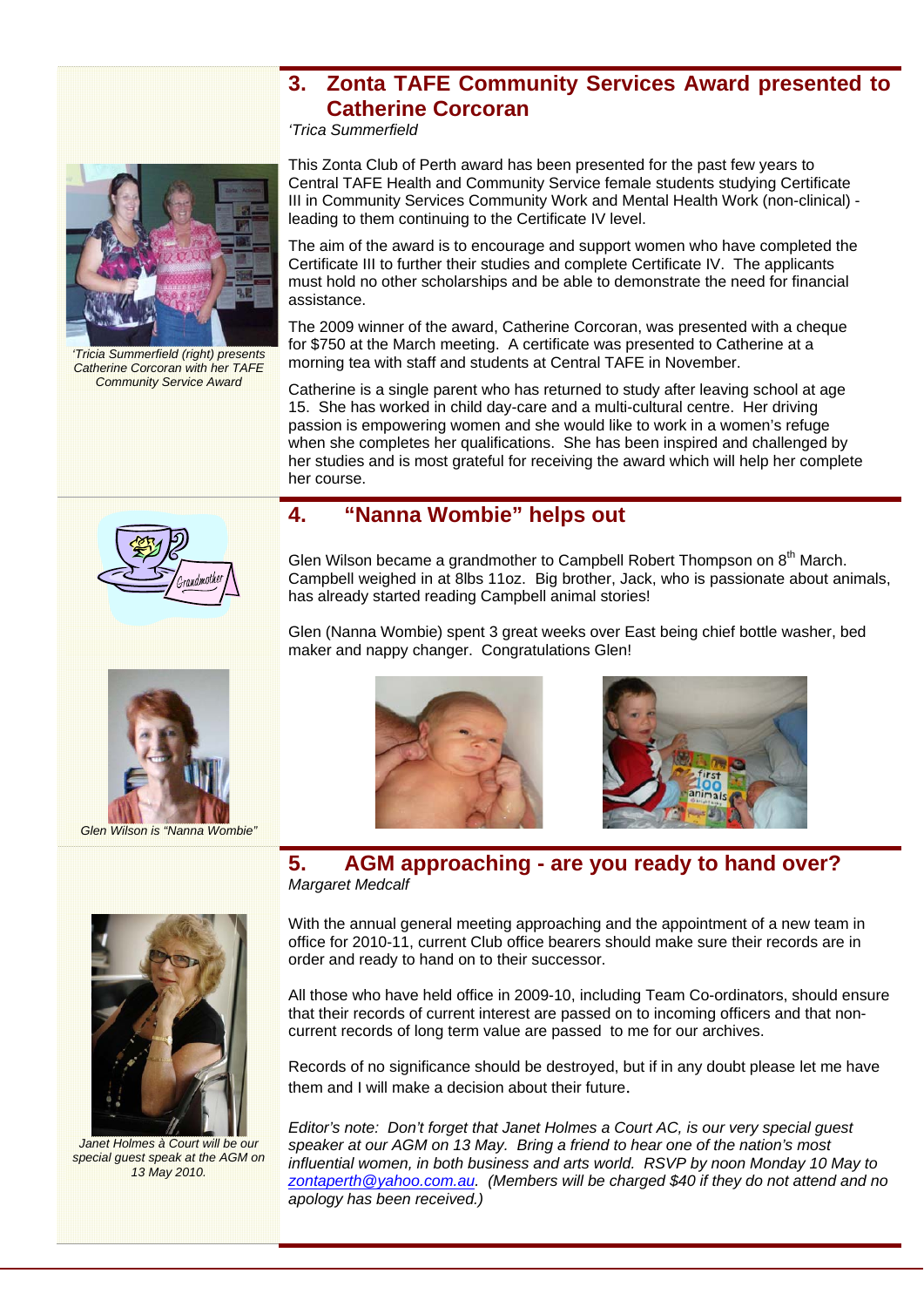## **3. Zonta TAFE Community Services Award presented to Catherine Corcoran**

*'Trica Summerfield* 



*'Tricia Summerfield (right) presents Catherine Corcoran with her TAFE Community Service Award* 

This Zonta Club of Perth award has been presented for the past few years to Central TAFE Health and Community Service female students studying Certificate III in Community Services Community Work and Mental Health Work (non-clinical) leading to them continuing to the Certificate IV level.

The aim of the award is to encourage and support women who have completed the Certificate III to further their studies and complete Certificate IV. The applicants must hold no other scholarships and be able to demonstrate the need for financial assistance.

The 2009 winner of the award, Catherine Corcoran, was presented with a cheque for \$750 at the March meeting. A certificate was presented to Catherine at a morning tea with staff and students at Central TAFE in November.

Catherine is a single parent who has returned to study after leaving school at age 15. She has worked in child day-care and a multi-cultural centre. Her driving passion is empowering women and she would like to work in a women's refuge when she completes her qualifications. She has been inspired and challenged by her studies and is most grateful for receiving the award which will help her complete her course.



# **4. "Nanna Wombie" helps out**

Glen Wilson became a grandmother to Campbell Robert Thompson on  $8<sup>th</sup>$  March. Campbell weighed in at 8lbs 11oz. Big brother, Jack, who is passionate about animals, has already started reading Campbell animal stories!

Glen (Nanna Wombie) spent 3 great weeks over East being chief bottle washer, bed maker and nappy changer. Congratulations Glen!



*Glen Wilson is "Nanna Wombie"* 



*Janet Holmes à Court will be our special guest speak at the AGM on 13 May 2010.* 





### **5. AGM approaching - are you ready to hand over?**  *Margaret Medcalf*

With the annual general meeting approaching and the appointment of a new team in office for 2010-11, current Club office bearers should make sure their records are in order and ready to hand on to their successor.

All those who have held office in 2009-10, including Team Co-ordinators, should ensure that their records of current interest are passed on to incoming officers and that noncurrent records of long term value are passed to me for our archives.

Records of no significance should be destroyed, but if in any doubt please let me have them and I will make a decision about their future.

*Editor's note: Don't forget that Janet Holmes a Court AC, is our very special guest speaker at our AGM on 13 May. Bring a friend to hear one of the nation's most influential women, in both business and arts world. RSVP by noon Monday 10 May to zontaperth@yahoo.com.au. (Members will be charged \$40 if they do not attend and no apology has been received.)*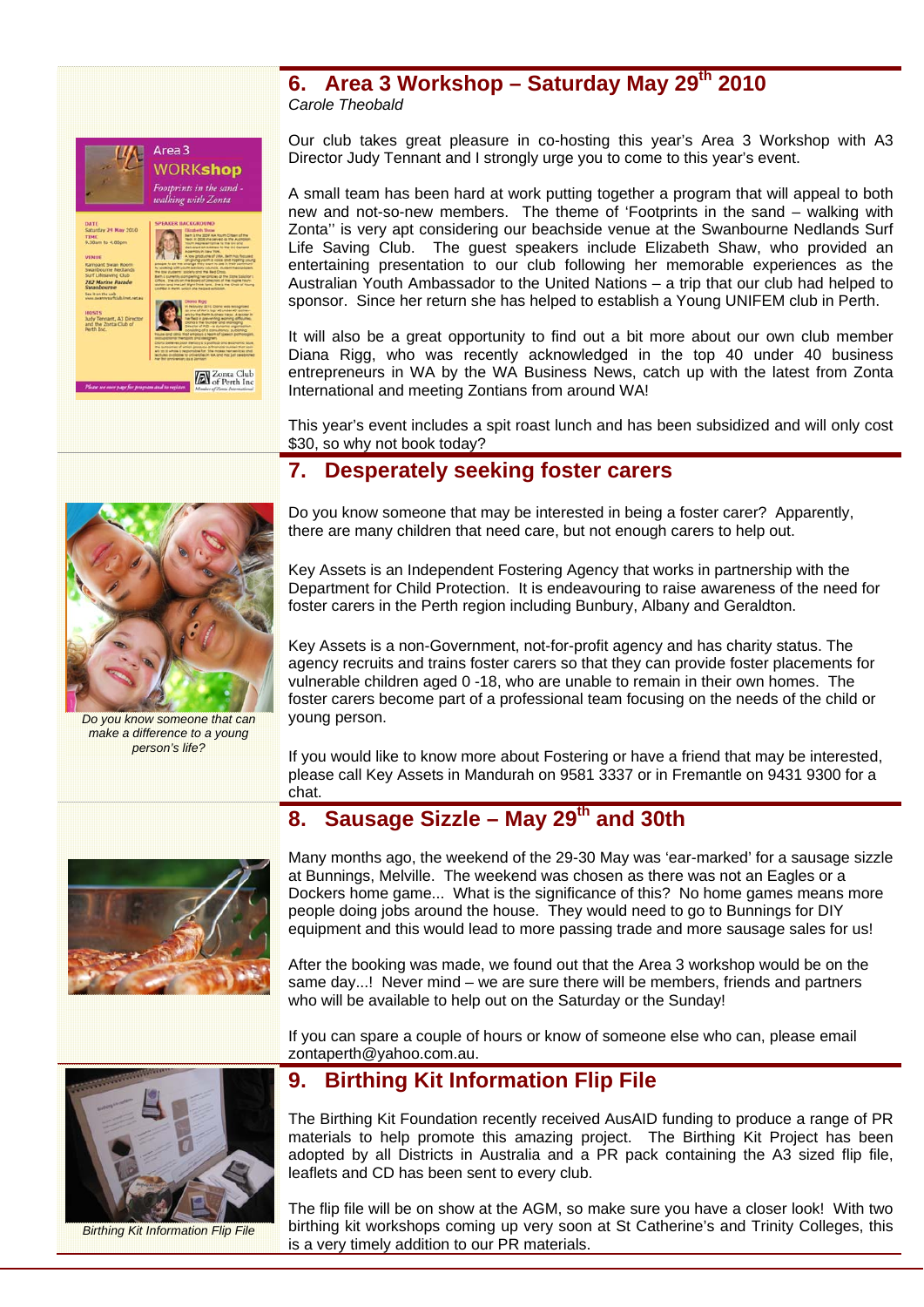### **6. Area 3 Workshop – Saturday May 29th 2010**  *Carole Theobald*



Our club takes great pleasure in co-hosting this year's Area 3 Workshop with A3 Director Judy Tennant and I strongly urge you to come to this year's event.

A small team has been hard at work putting together a program that will appeal to both new and not-so-new members. The theme of 'Footprints in the sand – walking with Zonta'' is very apt considering our beachside venue at the Swanbourne Nedlands Surf Life Saving Club. The guest speakers include Elizabeth Shaw, who provided an entertaining presentation to our club following her memorable experiences as the Australian Youth Ambassador to the United Nations – a trip that our club had helped to sponsor. Since her return she has helped to establish a Young UNIFEM club in Perth.

It will also be a great opportunity to find out a bit more about our own club member Diana Rigg, who was recently acknowledged in the top 40 under 40 business entrepreneurs in WA by the WA Business News, catch up with the latest from Zonta International and meeting Zontians from around WA!

This year's event includes a spit roast lunch and has been subsidized and will only cost \$30, so why not book today?

## **7. Desperately seeking foster carers**



*Do you know someone that can make a difference to a young person's life?* 

Do you know someone that may be interested in being a foster carer? Apparently, there are many children that need care, but not enough carers to help out.

Key Assets is an Independent Fostering Agency that works in partnership with the Department for Child Protection. It is endeavouring to raise awareness of the need for foster carers in the Perth region including Bunbury, Albany and Geraldton.

Key Assets is a non-Government, not-for-profit agency and has charity status. The agency recruits and trains foster carers so that they can provide foster placements for vulnerable children aged 0 -18, who are unable to remain in their own homes. The foster carers become part of a professional team focusing on the needs of the child or young person.

If you would like to know more about Fostering or have a friend that may be interested, please call Key Assets in Mandurah on 9581 3337 or in Fremantle on 9431 9300 for a chat.

# 8. Sausage Sizzle – May 29<sup>th</sup> and 30th



Many months ago, the weekend of the 29-30 May was 'ear-marked' for a sausage sizzle at Bunnings, Melville. The weekend was chosen as there was not an Eagles or a Dockers home game... What is the significance of this? No home games means more people doing jobs around the house. They would need to go to Bunnings for DIY equipment and this would lead to more passing trade and more sausage sales for us!

After the booking was made, we found out that the Area 3 workshop would be on the same day...! Never mind – we are sure there will be members, friends and partners who will be available to help out on the Saturday or the Sunday!

If you can spare a couple of hours or know of someone else who can, please email zontaperth@yahoo.com.au.



*Birthing Kit Information Flip File* 

## **9. Birthing Kit Information Flip File**

The Birthing Kit Foundation recently received AusAID funding to produce a range of PR materials to help promote this amazing project. The Birthing Kit Project has been adopted by all Districts in Australia and a PR pack containing the A3 sized flip file, leaflets and CD has been sent to every club.

The flip file will be on show at the AGM, so make sure you have a closer look! With two birthing kit workshops coming up very soon at St Catherine's and Trinity Colleges, this is a very timely addition to our PR materials.